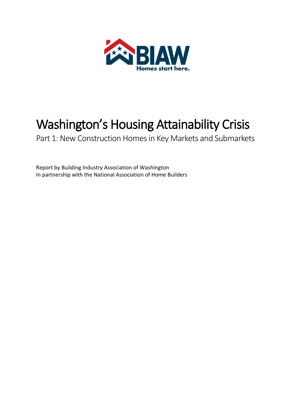

# Washington's Housing Attainability Crisis

Part 1: New Construction Homes in Key Markets and Submarkets

Report by Building Industry Association of Washington In partnership with the National Association of Home Builders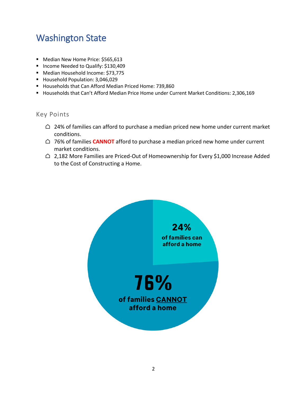# Washington State

- Median New Home Price: \$565,613
- Income Needed to Qualify: \$130,409
- Median Household Income: \$73,775
- Household Population: 3,046,029
- Households that Can Afford Median Priced Home: 739,860
- Households that Can't Afford Median Price Home under Current Market Conditions: 2,306,169

- $\triangle$  24% of families can afford to purchase a median priced new home under current market conditions.
- ⌂ 76% of families **CANNOT** afford to purchase a median priced new home under current market conditions.
- $\bigcirc$  2,182 More Families are Priced-Out of Homeownership for Every \$1,000 Increase Added to the Cost of Constructing a Home.

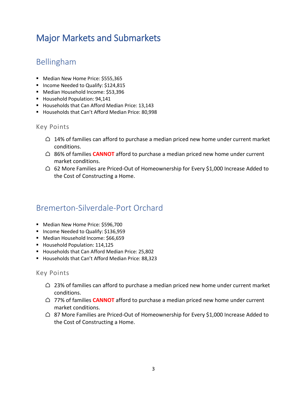# Major Markets and Submarkets

# Bellingham

- Median New Home Price: \$555,365
- Income Needed to Qualify: \$124,815
- Median Household Income: \$53,396
- Household Population: 94,141
- Households that Can Afford Median Price: 13,143
- Households that Can't Afford Median Price: 80,998

#### Key Points

- $\triangle$  14% of families can afford to purchase a median priced new home under current market conditions.
- ⌂ 86% of families **CANNOT** afford to purchase a median priced new home under current market conditions.
- $\bigcirc$  62 More Families are Priced-Out of Homeownership for Every \$1,000 Increase Added to the Cost of Constructing a Home.

### Bremerton-Silverdale-Port Orchard

- Median New Home Price: \$596,700
- Income Needed to Qualify: \$136,959
- Median Household Income: \$66,659
- Household Population: 114,125
- Households that Can Afford Median Price: 25,802
- Households that Can't Afford Median Price: 88,323

- $\triangle$  23% of families can afford to purchase a median priced new home under current market conditions.
- ⌂ 77% of families **CANNOT** afford to purchase a median priced new home under current market conditions.
- $\triangle$  87 More Families are Priced-Out of Homeownership for Every \$1,000 Increase Added to the Cost of Constructing a Home.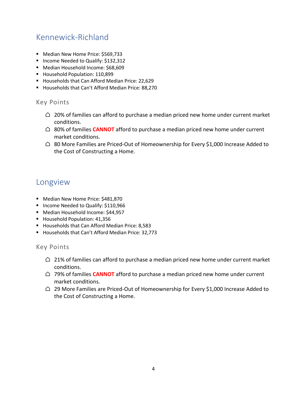# Kennewick-Richland

- Median New Home Price: \$569,733
- Income Needed to Qualify: \$132,312
- Median Household Income: \$68,609
- Household Population: 110,899
- Households that Can Afford Median Price: 22,629
- Households that Can't Afford Median Price: 88,270

#### Key Points

- $\triangle$  20% of families can afford to purchase a median priced new home under current market conditions.
- ⌂ 80% of families **CANNOT** afford to purchase a median priced new home under current market conditions.
- $\triangle$  80 More Families are Priced-Out of Homeownership for Every \$1,000 Increase Added to the Cost of Constructing a Home.

### Longview

- Median New Home Price: \$481,870
- Income Needed to Qualify: \$110,966
- Median Household Income: \$44,957
- Household Population: 41,356
- Households that Can Afford Median Price: 8,583
- Households that Can't Afford Median Price: 32,773

- $\triangle$  21% of families can afford to purchase a median priced new home under current market conditions.
- ⌂ 79% of families **CANNOT** afford to purchase a median priced new home under current market conditions.
- $\triangle$  29 More Families are Priced-Out of Homeownership for Every \$1,000 Increase Added to the Cost of Constructing a Home.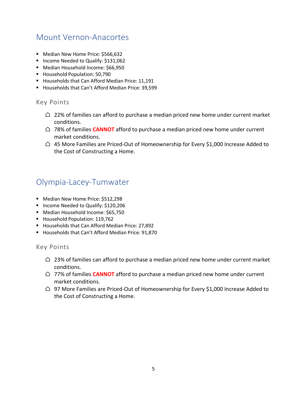### Mount Vernon-Anacortes

- Median New Home Price: \$566,632
- Income Needed to Qualify: \$131,062
- Median Household Income: \$66,950
- Household Population: 50,790
- Households that Can Afford Median Price: 11,191
- Households that Can't Afford Median Price: 39,599

#### Key Points

- $\bigcirc$  22% of families can afford to purchase a median priced new home under current market conditions.
- ⌂ 78% of families **CANNOT** afford to purchase a median priced new home under current market conditions.
- $\triangle$  45 More Families are Priced-Out of Homeownership for Every \$1,000 Increase Added to the Cost of Constructing a Home.

### Olympia-Lacey-Tumwater

- Median New Home Price: \$512,298
- Income Needed to Qualify: \$120,206
- Median Household Income: \$65,750
- Household Population: 119,762
- Households that Can Afford Median Price: 27,892
- Households that Can't Afford Median Price: 91,870

- $\bigcirc$  23% of families can afford to purchase a median priced new home under current market conditions.
- ⌂ 77% of families **CANNOT** afford to purchase a median priced new home under current market conditions.
- $\bigcirc$  97 More Families are Priced-Out of Homeownership for Every \$1,000 Increase Added to the Cost of Constructing a Home.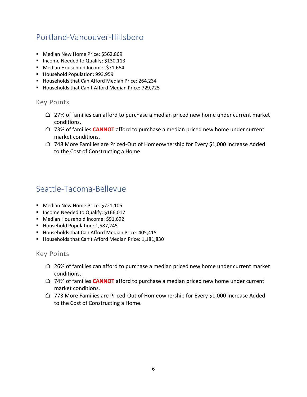# Portland-Vancouver-Hillsboro

- Median New Home Price: \$562,869
- Income Needed to Qualify: \$130,113
- Median Household Income: \$71,664
- Household Population: 993,959
- Households that Can Afford Median Price: 264,234
- Households that Can't Afford Median Price: 729,725

#### Key Points

- $\triangle$  27% of families can afford to purchase a median priced new home under current market conditions.
- ⌂ 73% of families **CANNOT** afford to purchase a median priced new home under current market conditions.
- △ 748 More Families are Priced-Out of Homeownership for Every \$1,000 Increase Added to the Cost of Constructing a Home.

### Seattle-Tacoma-Bellevue

- Median New Home Price: \$721,105
- Income Needed to Qualify: \$166,017
- Median Household Income: \$91,692
- Household Population: 1,587,245
- Households that Can Afford Median Price: 405,415
- Households that Can't Afford Median Price: 1,181,830

- $\triangle$  26% of families can afford to purchase a median priced new home under current market conditions.
- ⌂ 74% of families **CANNOT** afford to purchase a median priced new home under current market conditions.
- $\triangle$  773 More Families are Priced-Out of Homeownership for Every \$1,000 Increase Added to the Cost of Constructing a Home.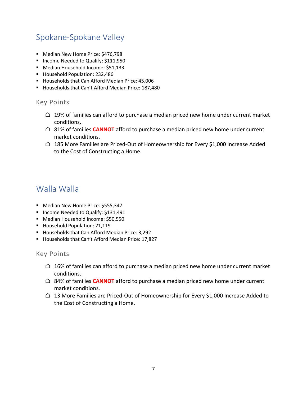# Spokane-Spokane Valley

- Median New Home Price: \$476,798
- Income Needed to Qualify: \$111,950
- Median Household Income: \$51,133
- Household Population: 232,486
- Households that Can Afford Median Price: 45,006
- Households that Can't Afford Median Price: 187,480

#### Key Points

- $\bigcirc$  19% of families can afford to purchase a median priced new home under current market conditions.
- ⌂ 81% of families **CANNOT** afford to purchase a median priced new home under current market conditions.
- △ 185 More Families are Priced-Out of Homeownership for Every \$1,000 Increase Added to the Cost of Constructing a Home.

### Walla Walla

- Median New Home Price: \$555,347
- Income Needed to Qualify: \$131,491
- Median Household Income: \$50,550
- Household Population: 21,119
- Households that Can Afford Median Price: 3,292
- Households that Can't Afford Median Price: 17,827

- $\triangle$  16% of families can afford to purchase a median priced new home under current market conditions.
- ⌂ 84% of families **CANNOT** afford to purchase a median priced new home under current market conditions.
- $\triangle$  13 More Families are Priced-Out of Homeownership for Every \$1,000 Increase Added to the Cost of Constructing a Home.